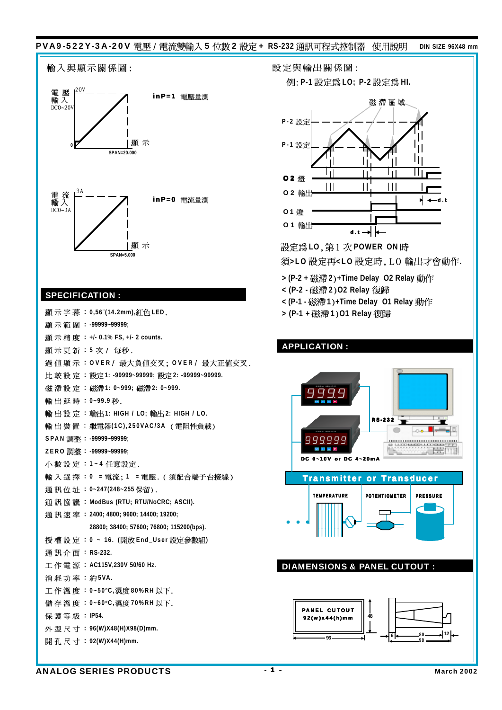# PVA9-522Y-3A-20V 電壓 / 電流雙輸入 5 位數 2 設定 + RS-232 通訊可程式控制器 使用說明 DIN SIZE 96X48 mm



### SPECIFICATION :

設定與輸出關係圖:

 $M:$  **P-1** 設定為 LO; P-2 設定為 HI.



設定為LO, 第1次POWER ON時

須>LO 設定再<LO 設定時, LO 輸出才會動作.

- **> (P-2 + 2 +Time Delay O2 Relay**
- **< (P-2 - 2 O2 Relay**
- **< (P-1 - 1 +Time Delay O1 Relay**

**> (P-1 + 1 O1 Relay**

### APPLICATION : RS-232  $\sim$  $\bigcirc$ 999999 **ASSESSMENT ELA** R TH. DC 0~10V or DC 4~20mA Transmitter or Transducer TEMPERATURE POTENTIOMETER PRESSURE . . . . . . . . . . . . . . . . . . . . . . . . . . . . . . . . . . . . . . . . . . . . . . . . . . . ○○○ . . . . . . . . . . . . . . . . . . . . . . . . . . . . . . . . . . . . . . . . . . . . . . . . . . . DIAMENSIONS & PANEL CUTOUT PANEL CUTOUT 92(w)x44(h)mm **48**

**96**

**<sup>98</sup> <sup>6</sup> <sup>80</sup> <sup>12</sup>**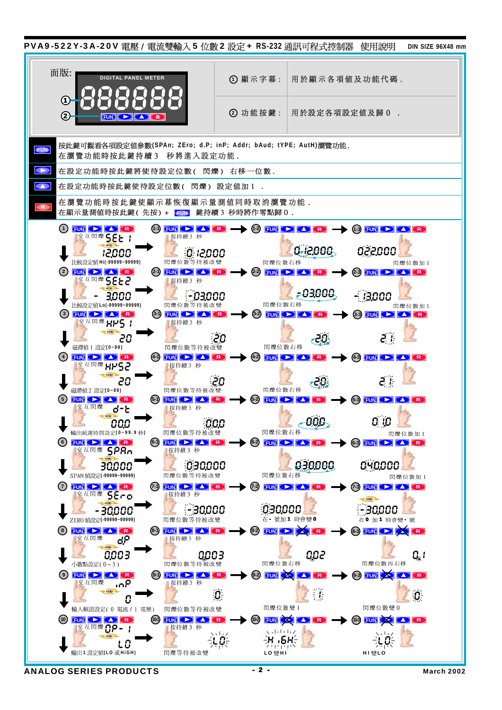

ANALOG SERIES PRODUCTS  $\cdot$  2  $\cdot$  March 2002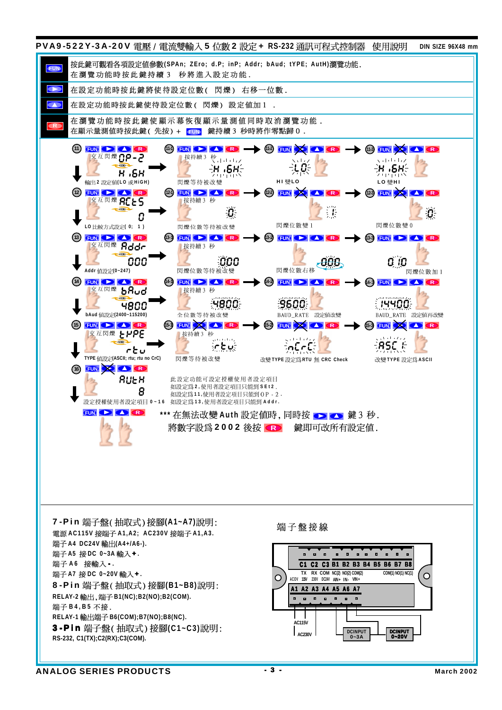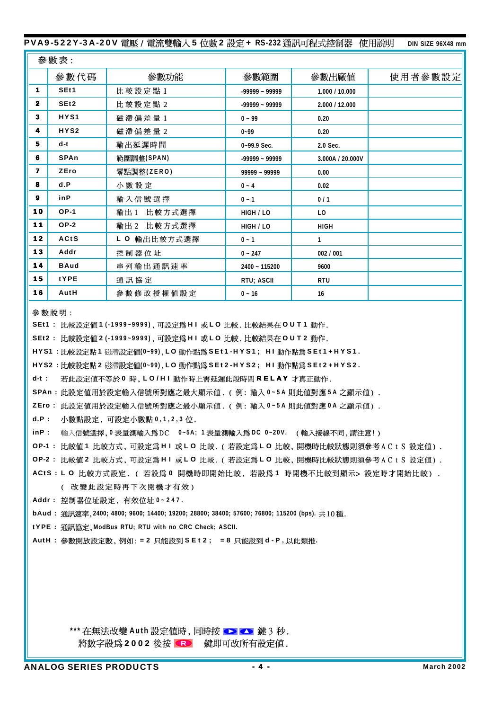#### PVA9-522Y-3A-20V 電壓 / 電流雙輸入 5 位數 2 設定 + RS-232 通訊可程式控制器 使用說明

DIN SIZE 96X48 mm

|                | 參數表:             |                |                  |                  |         |  |  |  |
|----------------|------------------|----------------|------------------|------------------|---------|--|--|--|
|                | 參數代碼             | 參數功能           | 參數範圍             | 參數出廠値            | 使用者參數設定 |  |  |  |
| 1.             | SE <sub>t1</sub> | 比較設定點1         | $-99999 - 99999$ | 1.000 / 10.000   |         |  |  |  |
| $\overline{2}$ | SE <sub>t2</sub> | 比較設定點 2        | $-99999 - 99999$ | 2.000 / 12.000   |         |  |  |  |
| 3              | HYS1             | 磁 滯 偏 差 量 1    | $0 - 99$         | 0.20             |         |  |  |  |
| 4              | HYS2             | 磁滯偏差量2         | $0 - 99$         | 0.20             |         |  |  |  |
| 5              | $d-t$            | 輸出延遲時間         | $0 - 99.9$ Sec.  | 2.0 Sec.         |         |  |  |  |
| 6              | SPAn             | 範圍調整(SPAN)     | $-99999 - 99999$ | 3.000A / 20.000V |         |  |  |  |
| $\overline{7}$ | ZEro             | 零點調整(ZERO)     | 99999 ~ 99999    | 0.00             |         |  |  |  |
| 8              | d.P              | 小數設定           | $0 - 4$          | 0.02             |         |  |  |  |
| 9              | $i$ n $P$        | 輸入信號選擇         | $0 - 1$          | 0/1              |         |  |  |  |
| 10             | $OP-1$           | 比較方式選擇<br>輸出 1 | HIGH / LO        | L <sub>0</sub>   |         |  |  |  |
| 11             | $OP-2$           | 輸出2 比較方式選擇     | HIGH / LO        | <b>HIGH</b>      |         |  |  |  |
| 12             | ACtS             | L O 輸出比較方式選擇   | $0 - 1$          | $\mathbf{1}$     |         |  |  |  |
| 13             | Addr             | 控制器位址          | $0 - 247$        | 002 / 001        |         |  |  |  |
| 14             | <b>BAud</b>      | 串列輸出通訊速率       | 2400 ~ 115200    | 9600             |         |  |  |  |
| 15             | tYPE             | 通訊協定           | RTU; ASCII       | <b>RTU</b>       |         |  |  |  |
| 16             | AutH             | 參數修改授權值設定      | $0 - 16$         | 16               |         |  |  |  |

參數說明:

- SEt1: 比較設定値1(-1999~9999), 可設定為HI或LO比較. 比較結果在OUT1動作.
- SEt2: 比較設定値2(-1999~9999),可設定為HI或LO比較,比較結果在OUT2動作,
- HYS1: 比較設定點 1 磁滯設定値(0~99), LO 動作點為 SEt 1-HYS1; HI 動作點為 SEt 1 + HYS1.
- HYS2: 比較設定點 2 磁滯設定値(0~99), LO 動作點為 SEt2-HYS2; HI 動作點為 SEt2+HYS2.
- $d-t$ : 若此設定値不等於 0 時, LO/H I 動作時上需延遲此段時間 RELAY 才真正動作.
- SPAn: 此設定値用於設定輸入信號所對應之最大顯示値. (例: 輸入 0~5A 則此値對應 5A 之顯示値).
- ZEro: 此設定値用於設定輸入信號所對應之最小顯示値. (例: 輸入 0~5A 則此値對應 0A 之顯示値).
- d.P: 小數點設定,可設定小數點 0,1,2,3 位.
- inP: 輸入信號選擇,0表量測輸入爲DC 0~5A;1表量測輸入爲DC 0~20V. (輸入接線不同,請注意!)
- OP-1: 比較値1 比較方式, 可設定爲 H I 或 L O 比較. (若設定爲 L O 比較, 開機時比較狀態則須參考 A C t S 設定値).
- OP-2: 比較値 2 比較方式, 可設定為 H I 或 L O 比較. (若設定為 L O 比較, 開機時比較狀態則須參考 A C t S 設定値).
- ACtS : L O 比較方式設定. ( 若設爲 0 開機時即開始比較, 若設爲 1 時開機不比較到顯示> 設定時才開始比較).
	- ( 改變此設定時再下次開機才有效)
- Addr: 控制器位址設定, 有效位址 0-247.
- bAud: 涌訊涑率, 2400; 4800; 9600; 14400; 19200; 28800; 38400; 57600; 76800; 115200 (bps). 共10種,
- tYPE: 通訊協定, ModBus RTU; RTU with no CRC Check; ASCII.
- AutH: 參數開放設定數, 例如: = 2 只能設到 S E t 2 ; = 8 只能設到 d P, 以此類推.

\*\*\* 在無法改變 Auth 設定値時, 同時按 ● ● 健3 秒. 將數字設爲 2002 後按 <>> 鍵即可改所有設定値.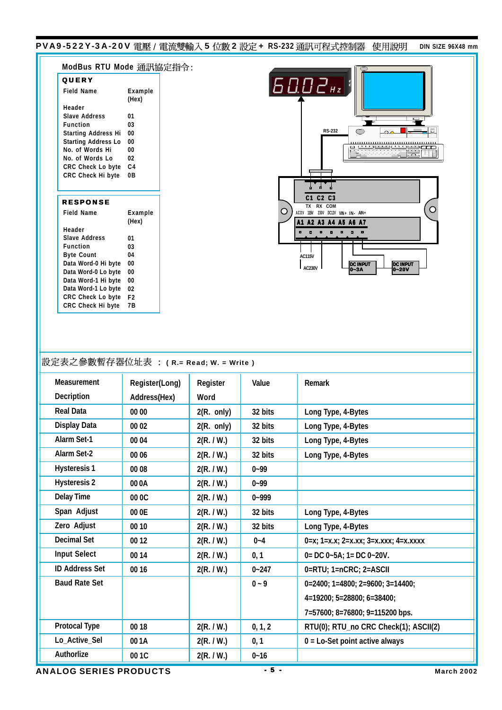PVA9-522Y-3A-20V 電壓 / 電流雙輸入 5 位數 2 設定 + **RS-232** 通訊可程式控制器 使用說明 blN SIZE 96X48 mm

|                                                                                                                                                                                     | ModBus RTU Mode 通訊協定指令: |                        |           |                                                                                                                                                                                                                                                                                                                                                                                                                                                         |
|-------------------------------------------------------------------------------------------------------------------------------------------------------------------------------------|-------------------------|------------------------|-----------|---------------------------------------------------------------------------------------------------------------------------------------------------------------------------------------------------------------------------------------------------------------------------------------------------------------------------------------------------------------------------------------------------------------------------------------------------------|
| QUERY                                                                                                                                                                               |                         |                        |           |                                                                                                                                                                                                                                                                                                                                                                                                                                                         |
| <b>Field Name</b>                                                                                                                                                                   | Example                 |                        |           | 6002 <sub>Hz</sub>                                                                                                                                                                                                                                                                                                                                                                                                                                      |
|                                                                                                                                                                                     | (Hex)                   |                        |           |                                                                                                                                                                                                                                                                                                                                                                                                                                                         |
| Header                                                                                                                                                                              |                         |                        |           |                                                                                                                                                                                                                                                                                                                                                                                                                                                         |
| <b>Slave Address</b>                                                                                                                                                                | 01                      |                        |           |                                                                                                                                                                                                                                                                                                                                                                                                                                                         |
| <b>Function</b><br><b>Starting Address Hi</b>                                                                                                                                       | 03<br>00                |                        |           | <b>RS-232</b>                                                                                                                                                                                                                                                                                                                                                                                                                                           |
| <b>Starting Address Lo</b>                                                                                                                                                          | 00                      |                        |           |                                                                                                                                                                                                                                                                                                                                                                                                                                                         |
| No. of Words Hi                                                                                                                                                                     | 00                      |                        |           |                                                                                                                                                                                                                                                                                                                                                                                                                                                         |
| No. of Words Lo                                                                                                                                                                     | 02                      |                        |           |                                                                                                                                                                                                                                                                                                                                                                                                                                                         |
| CRC Check Lo byte<br>CRC Check Hi byte                                                                                                                                              | C <sub>4</sub><br>0В    |                        |           |                                                                                                                                                                                                                                                                                                                                                                                                                                                         |
|                                                                                                                                                                                     |                         |                        |           |                                                                                                                                                                                                                                                                                                                                                                                                                                                         |
|                                                                                                                                                                                     |                         |                        |           |                                                                                                                                                                                                                                                                                                                                                                                                                                                         |
| <b>RESPONSE</b>                                                                                                                                                                     |                         |                        |           | C1 C2 C3<br>TX RX COM                                                                                                                                                                                                                                                                                                                                                                                                                                   |
| <b>Field Name</b>                                                                                                                                                                   | Example                 |                        | O         | ACOV 115V 230V DC12V VIN+ IN- AIN+                                                                                                                                                                                                                                                                                                                                                                                                                      |
|                                                                                                                                                                                     | (Hex)                   |                        |           | A1 A2 A3 A4 A5 A6 A7                                                                                                                                                                                                                                                                                                                                                                                                                                    |
| Header<br><b>Slave Address</b>                                                                                                                                                      | 01                      |                        |           | $\begin{array}{cccccccccccccc} \textbf{a} & \textbf{a} & \textbf{a} & \textbf{a} & \textbf{a} & \textbf{a} & \textbf{a} & \textbf{a} & \textbf{a} & \textbf{a} & \textbf{a} & \textbf{a} & \textbf{a} & \textbf{a} & \textbf{a} & \textbf{a} & \textbf{a} & \textbf{a} & \textbf{a} & \textbf{a} & \textbf{a} & \textbf{a} & \textbf{a} & \textbf{a} & \textbf{a} & \textbf{a} & \textbf{a} & \textbf{a} & \textbf{a} & \textbf{a} &$<br>$\blacksquare$ |
| <b>Function</b>                                                                                                                                                                     | 03                      |                        |           |                                                                                                                                                                                                                                                                                                                                                                                                                                                         |
| <b>Byte Count</b>                                                                                                                                                                   | 04                      |                        |           | <b>AC115V</b>                                                                                                                                                                                                                                                                                                                                                                                                                                           |
| Data Word-0 Hi byte                                                                                                                                                                 | 00                      |                        |           | <b>DC INPUT</b><br><b>DC INPUT</b><br><b>AC230V</b>                                                                                                                                                                                                                                                                                                                                                                                                     |
| Data Word-0 Lo byte                                                                                                                                                                 | 00                      |                        |           | $O-3A$<br>0~20V                                                                                                                                                                                                                                                                                                                                                                                                                                         |
| Data Word-1 Hi byte<br>Data Word-1 Lo byte                                                                                                                                          | 00<br>02                |                        |           |                                                                                                                                                                                                                                                                                                                                                                                                                                                         |
| CRC Check Lo byte F2                                                                                                                                                                |                         |                        |           |                                                                                                                                                                                                                                                                                                                                                                                                                                                         |
| CRC Check Hi byte                                                                                                                                                                   | 7B                      |                        |           |                                                                                                                                                                                                                                                                                                                                                                                                                                                         |
|                                                                                                                                                                                     |                         |                        |           |                                                                                                                                                                                                                                                                                                                                                                                                                                                         |
| 設定表之參數暫存器位址表 : (R.= Read; W. = Write)                                                                                                                                               |                         |                        |           |                                                                                                                                                                                                                                                                                                                                                                                                                                                         |
| Measurement                                                                                                                                                                         | Register(Long)          | Register               | Value     | <b>Remark</b>                                                                                                                                                                                                                                                                                                                                                                                                                                           |
|                                                                                                                                                                                     | Address(Hex)            | Word                   |           |                                                                                                                                                                                                                                                                                                                                                                                                                                                         |
|                                                                                                                                                                                     | 00 00                   | $2(R. \text{ only})$   | 32 bits   | Long Type, 4-Bytes                                                                                                                                                                                                                                                                                                                                                                                                                                      |
|                                                                                                                                                                                     | 00 02                   | $2(R. \; \text{only})$ | 32 bits   | Long Type, 4-Bytes                                                                                                                                                                                                                                                                                                                                                                                                                                      |
|                                                                                                                                                                                     | 00 04                   | 2(R. / W.)             | 32 bits   | Long Type, 4-Bytes                                                                                                                                                                                                                                                                                                                                                                                                                                      |
|                                                                                                                                                                                     | 00 06                   | 2(R. / W.)             | 32 bits   | Long Type, 4-Bytes                                                                                                                                                                                                                                                                                                                                                                                                                                      |
|                                                                                                                                                                                     | 00 08                   | 2(R. / W.)             | $0 - 99$  |                                                                                                                                                                                                                                                                                                                                                                                                                                                         |
|                                                                                                                                                                                     | 00 0A                   | 2(R. / W.)             | $0 - 99$  |                                                                                                                                                                                                                                                                                                                                                                                                                                                         |
|                                                                                                                                                                                     | 00 0C                   | 2(R. / W.)             | $0 - 999$ |                                                                                                                                                                                                                                                                                                                                                                                                                                                         |
| <b>Decription</b><br><b>Real Data</b><br><b>Display Data</b><br>Alarm Set-1<br><b>Alarm Set-2</b><br><b>Hysteresis 1</b><br><b>Hysteresis 2</b><br><b>Delay Time</b><br>Span Adjust | 00 0E                   | 2(R. / W.)             | 32 bits   | Long Type, 4-Bytes                                                                                                                                                                                                                                                                                                                                                                                                                                      |
|                                                                                                                                                                                     | 00 10                   | 2(R. / W.)             | 32 bits   | Long Type, 4-Bytes                                                                                                                                                                                                                                                                                                                                                                                                                                      |
| Zero Adjust<br><b>Decimal Set</b>                                                                                                                                                   | 00 12                   | 2(R. / W.)             | $0 - 4$   | $0=x$ ; $1=x.x$ ; $2=x.xx$ ; $3=x.xxx$ ; $4=x.xxxx$                                                                                                                                                                                                                                                                                                                                                                                                     |
|                                                                                                                                                                                     | 00 14                   | 2(R. / W.)             | 0, 1      | $0 = DC 0 - 5A$ ; 1 = DC $0 - 20V$ .                                                                                                                                                                                                                                                                                                                                                                                                                    |
|                                                                                                                                                                                     | 00 16                   | 2(R. / W.)             | $0 - 247$ | 0=RTU; 1=nCRC; 2=ASCII                                                                                                                                                                                                                                                                                                                                                                                                                                  |
| <b>Input Select</b><br><b>ID Address Set</b><br><b>Baud Rate Set</b>                                                                                                                |                         |                        | $0 - 9$   | $0=2400; 1=4800; 2=9600; 3=14400;$<br>4=19200; 5=28800; 6=38400;                                                                                                                                                                                                                                                                                                                                                                                        |

**Protocal Type Lo\_Active\_Sel Authorlize**

**7=57600; 8=76800; 9=115200 bps.**

**0 = Lo-Set point active always**

**RTU(0); RTU\_no CRC Check(1); ASCII(2)**

**0, 1, 2 0, 1 0~16**

**2(R. / W.) 2(R. / W.) 2(R. / W.)**

Ξ